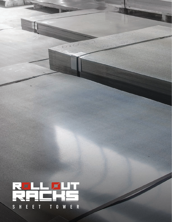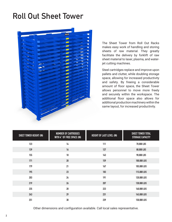## **Roll Out Sheet Tower**



The Sheet Tower from Roll Out Racks makes easy work of handling and storing sheets of raw material. They greatly facilitate the delivery by forklift of raw sheet material to laser, plasma, and waterjet cutting machines.

Steel cartridges replace and improve upon pallets and clutter, while doubling storage space, allowing for increased productivity and safety. By freeing a considerable amount of floor space, the Sheet Tower allows personnel to move more freely and securely within the workspace. The additional floor space also allows for additional production machinery within the same layout, for increased productivity.

| SHEET TOWER HEIGHT (IN) | <b>NUMBER OF CARTRIDGES</b><br>WITH 4" OF FREE SPACE (IN) | HEIGHT OF LAST LEVEL (IN) | <b>SHEET TOWER TOTAL</b><br><b>STORAGE CAPACITY</b> |
|-------------------------|-----------------------------------------------------------|---------------------------|-----------------------------------------------------|
| 123                     | 14                                                        | 111                       | 70,000 LBS                                          |
| 139                     | 16                                                        | 127                       | 80,000 LBS                                          |
| 155                     | 18                                                        | 143                       | 90,000 LBS                                          |
| 171                     | 20                                                        | 159                       | 100,000 LBS                                         |
| 179                     | 21                                                        | 167                       | 105,000 LBS                                         |
| 195                     | 23                                                        | 183                       | 115,000 LBS                                         |
| 203                     | 24                                                        | 191                       | 120,000 LBS                                         |
| 219                     | 26                                                        | 207                       | 130,000 LBS                                         |
| 235                     | 28                                                        | 223                       | 140,000 LBS                                         |
| 243                     | 29                                                        | 231                       | 145,000 LBS                                         |
| 251                     | 30                                                        | 239                       | 150,000 LBS                                         |

Other dimensions and configuration available. Call local sales representative.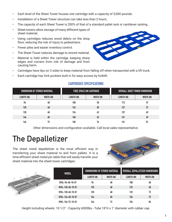- Each level of the Sheet Tower houses one cartridge with a capacity of 5,000 pounds.
- Installation of a Sheet Tower structure can take less than 2 hours.
- The capacity of each Sheet Tower is 200% of that of a standard pallet rack or cantilever racking.
- Sheet towers allow storage of many different types of sheet material.
- Using cartridges reduces wood debris on the shop floor, reducing the risk of injury to pedestrians.
- Fewer piles and easier inventory control.
- The Sheet Tower reduces damage to stored material.
- Material is held within the cartridge, keeping sharp edges and corners from risk of damage and from causing harm.



- Cartridges have lips on 3 sides to keep material from falling off when transported with a lift truck.
- Each cartridge has fork pockets built in for easy access by forklift.

## **CARTRIDGES SPECIFICATIONS**

| <b>DIMENSION OF STORED MATERIAL</b> |            | <b>FREE SPACE ON CARTRIDGE</b> |            | OVERALL SHEET TOWER DIMENSION |            |
|-------------------------------------|------------|--------------------------------|------------|-------------------------------|------------|
| LENGTH (IN)                         | WIDTH (IN) | LENGTH (IN)                    | WIDTH (IN) | <b>LENGTH (IN)</b>            | WIDTH (IN) |
| 96                                  | 48         | 100                            | 50         | 113                           | 57         |
| 120                                 | 48         | 124                            | 50         | 137                           | 57         |
| 120                                 | 60         | 124                            | 62         | 137                           | 69         |
| 144                                 | 60         | 148                            | 62         | 161                           | 69         |
| 144                                 | 72         | 148                            | 74         | 161                           | 81         |

Other dimensions and configuration available. Call local sales representative.

## **The Depalletizer**

The sheet metal depalletizer is the most efficient way in transferring your sheet material to and from pallets. It is a time-efficient sheet metal pin table that will easily transfer your sheet material into the sheet tower cartridges.



| ری | <b>MODEL</b>      | DIMENSIONS OF STORED MATERIAL |            | OVERALL DEPALLETIZER DIMENSIONS |            |
|----|-------------------|-------------------------------|------------|---------------------------------|------------|
|    |                   | LENGTH (IN)                   | WIDTH (IN) | LENGTH (IN)                     | WIDTH (IN) |
|    | DPAL-96-48-10-01  | 96                            | 48         | 108                             | 60         |
|    | DPAL-120-48-10-01 | 120                           | 48         | 132                             | 60         |
|    | DPAL-120-60-10-01 | 120                           | 60         | 132                             | 72         |
|    | DPAL-144-60-10-01 | 144                           | 60         | 156                             | 72         |
|    | DPAL-144-72-10-01 | 144                           | 72         | 156                             | 84         |

Height including wheels: 10 1/2" - Capacity 6000lbs - Tube 18"H x 1" diameter with rubber cap.